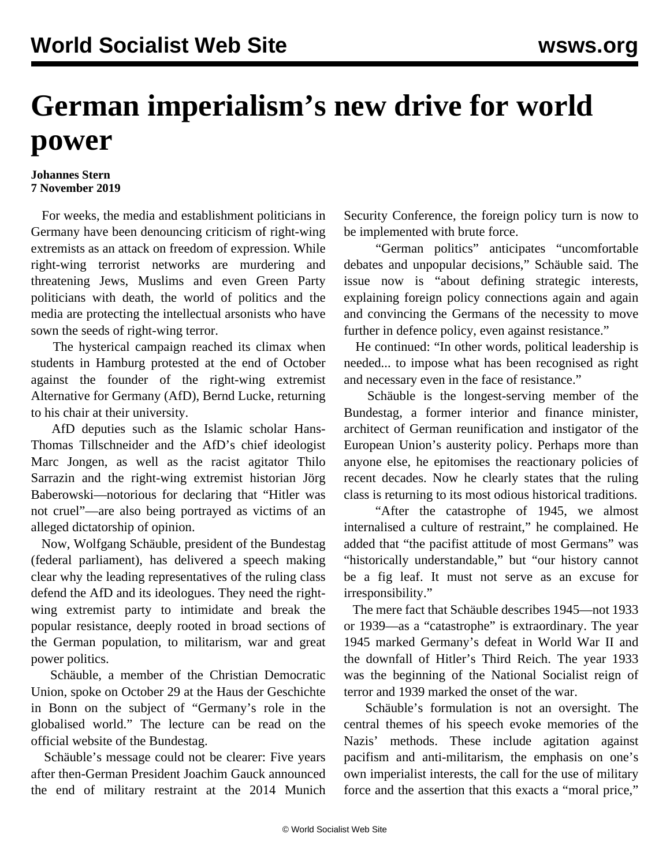## **German imperialism's new drive for world power**

## **Johannes Stern 7 November 2019**

 For weeks, the media and establishment politicians in Germany have been denouncing criticism of right-wing extremists as an attack on freedom of expression. While right-wing terrorist networks are murdering and threatening Jews, Muslims and even Green Party politicians with death, the world of politics and the media are protecting the intellectual arsonists who have sown the seeds of right-wing terror.

 The hysterical [campaign](/en/articles/2019/11/01/luck-n01.html) reached its climax when students in Hamburg protested at the end of October against the founder of the right-wing extremist Alternative for Germany (AfD), Bernd Lucke, returning to his chair at their university.

 AfD deputies such as the Islamic scholar Hans-Thomas Tillschneider and the AfD's chief ideologist Marc Jongen, as well as the racist agitator Thilo Sarrazin and the right-wing extremist historian Jörg Baberowski—notorious for declaring that "Hitler was not cruel"—are also being portrayed as victims of an alleged dictatorship of opinion.

 Now, Wolfgang Schäuble, president of the Bundestag (federal parliament), has delivered a speech making clear why the leading representatives of the ruling class defend the AfD and its ideologues. They need the rightwing extremist party to intimidate and break the popular resistance, deeply rooted in broad sections of the German population, to militarism, war and great power politics.

 Schäuble, a member of the Christian Democratic Union, spoke on October 29 at the Haus der Geschichte in Bonn on the subject of "Germany's role in the globalised world." The lecture can be read on the official website of the Bundestag.

 Schäuble's message could not be clearer: Five years after then-German President Joachim Gauck announced the end of military restraint at the 2014 Munich Security Conference, the foreign policy turn is now to be implemented with brute force.

 "German politics" anticipates "uncomfortable debates and unpopular decisions," Schäuble said. The issue now is "about defining strategic interests, explaining foreign policy connections again and again and convincing the Germans of the necessity to move further in defence policy, even against resistance."

 He continued: "In other words, political leadership is needed... to impose what has been recognised as right and necessary even in the face of resistance."

 Schäuble is the longest-serving member of the Bundestag, a former interior and finance minister, architect of German reunification and instigator of the European Union's austerity policy. Perhaps more than anyone else, he epitomises the reactionary policies of recent decades. Now he clearly states that the ruling class is returning to its most odious historical traditions.

 "After the catastrophe of 1945, we almost internalised a culture of restraint," he complained. He added that "the pacifist attitude of most Germans" was "historically understandable," but "our history cannot be a fig leaf. It must not serve as an excuse for irresponsibility."

 The mere fact that Schäuble describes 1945—not 1933 or 1939—as a "catastrophe" is extraordinary. The year 1945 marked Germany's defeat in World War II and the downfall of Hitler's Third Reich. The year 1933 was the beginning of the National Socialist reign of terror and 1939 marked the onset of the war.

 Schäuble's formulation is not an oversight. The central themes of his speech evoke memories of the Nazis' methods. These include agitation against pacifism and anti-militarism, the emphasis on one's own imperialist interests, the call for the use of military force and the assertion that this exacts a "moral price,"